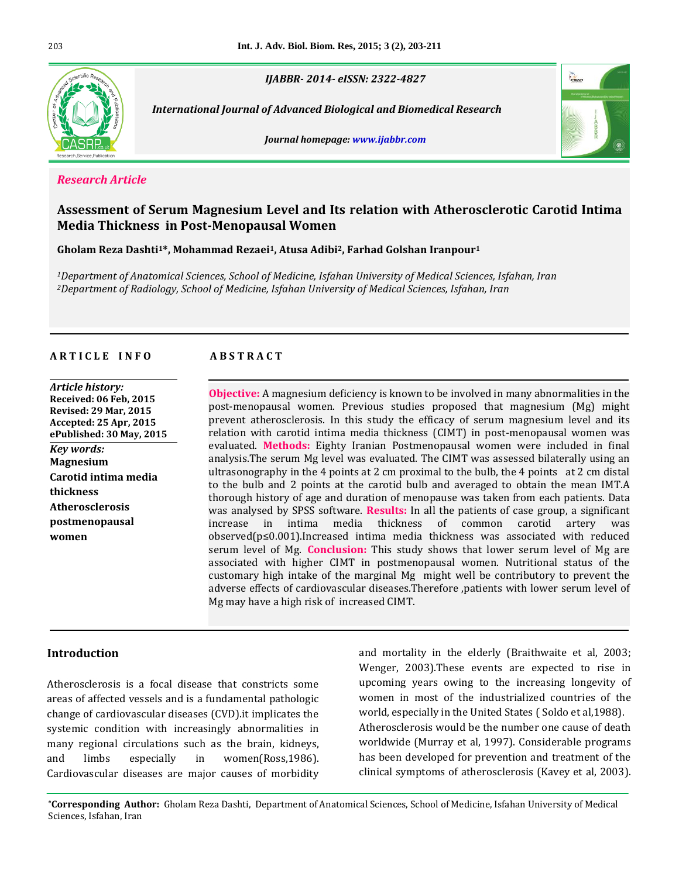

*IJABBR- 2014- eISSN: 2322-4827*

 *International Journal of Advanced Biological and Biomedical Research*

*Journal homepage: www.ijabbr.com*

# *Research Article*

# **Assessment of Serum Magnesium Level and Its relation with Atherosclerotic Carotid Intima Media Thickness in Post-Menopausal Women**

**Gholam Reza Dashti1\*, Mohammad Rezaei1, Atusa Adibi2, Farhad Golshan Iranpour<sup>1</sup>**

*<sup>1</sup>Department of Anatomical Sciences, School of Medicine, Isfahan University of Medical Sciences, Isfahan, Iran <sup>2</sup>Department of Radiology, School of Medicine, Isfahan University of Medical Sciences, Isfahan, Iran*

# **A R T I C L E I N F O A B S T R A C T**

*Article history:* **Received: 06 Feb, 2015 Revised: 29 Mar, 2015 Accepted: 25 Apr, 2015 ePublished: 30 May, 2015** *Key words:* **Magnesium Carotid intima media thickness Atherosclerosis postmenopausal women**

**Objective:** A magnesium deficiency is known to be involved in many abnormalities in the post-menopausal women. Previous studies proposed that magnesium (Mg) might prevent atherosclerosis. In this study the efficacy of serum magnesium level and its relation with carotid intima media thickness (CIMT) in post-menopausal women was evaluated. **Methods:** Eighty Iranian Postmenopausal women were included in final analysis.The serum Mg level was evaluated. The CIMT was assessed bilaterally using an ultrasonography in the 4 points at 2 cm proximal to the bulb, the 4 points at 2 cm distal to the bulb and 2 points at the carotid bulb and averaged to obtain the mean IMT.A thorough history of age and duration of menopause was taken from each patients. Data was analysed by SPSS software. **Results:** In all the patients of case group, a significant increase in intima media thickness of common carotid artery was observed(p≤0.001).Increased intima media thickness was associated with reduced serum level of Mg. **Conclusion:** This study shows that lower serum level of Mg are associated with higher CIMT in postmenopausal women. Nutritional status of the customary high intake of the marginal Mg might well be contributory to prevent the adverse effects of cardiovascular diseases.Therefore ,patients with lower serum level of Mg may have a high risk of increased CIMT.

# **Introduction**

Atherosclerosis is a focal disease that constricts some areas of affected vessels and is a fundamental pathologic change of cardiovascular diseases (CVD).it implicates the systemic condition with increasingly abnormalities in many regional circulations such as the brain, kidneys, and limbs especially in women(Ross,1986). Cardiovascular diseases are major causes of morbidity and mortality in the elderly (Braithwaite et al, 2003; Wenger, 2003).These events are expected to rise in upcoming years owing to the increasing longevity of women in most of the industrialized countries of the world, especially in the United States ( Soldo et al,1988). Atherosclerosis would be the number one cause of death worldwide (Murray et al, 1997). Considerable programs has been developed for prevention and treatment of the clinical symptoms of atherosclerosis (Kavey et al, 2003).

**\*Corresponding Author:** Gholam Reza Dashti, Department of Anatomical Sciences, School of Medicine, Isfahan University of Medical Sciences, Isfahan, Iran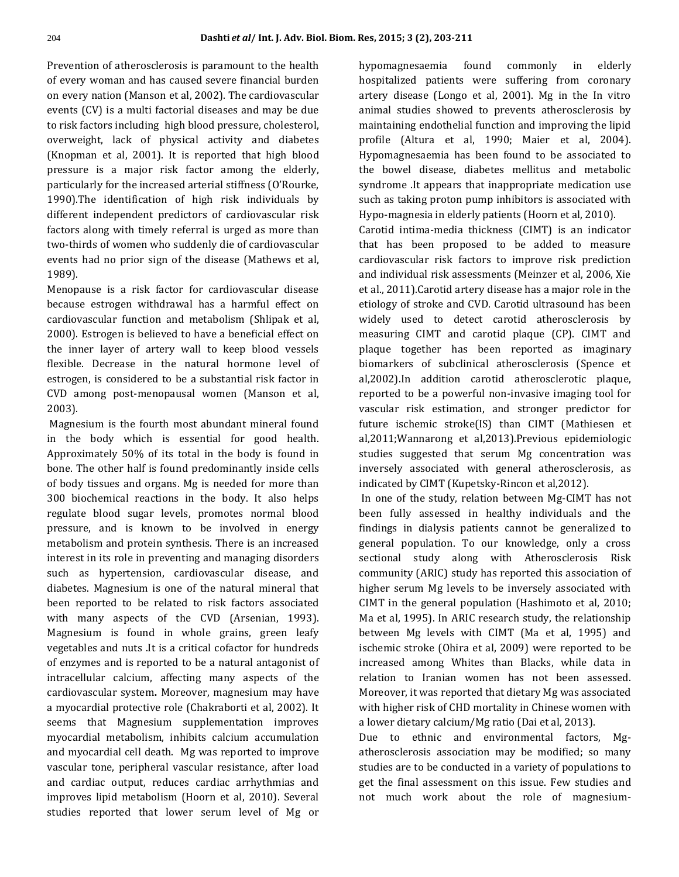Prevention of atherosclerosis is paramount to the health of every woman and has caused severe financial burden on every nation (Manson et al, 2002). The cardiovascular events (CV) is a multi factorial diseases and may be due to risk factors including high blood pressure, cholesterol, overweight, lack of physical activity and diabetes (Knopman et al, 2001). It is reported that high blood pressure is a major risk factor among the elderly, particularly for the increased arterial stiffness (O'Rourke, 1990).The identification of high risk individuals by different independent predictors of cardiovascular risk factors along with timely referral is urged as more than two-thirds of women who suddenly die of cardiovascular events had no prior sign of the disease (Mathews et al, 1989).

Menopause is a risk factor for cardiovascular disease because estrogen withdrawal has a harmful effect on cardiovascular function and metabolism (Shlipak et al, 2000). Estrogen is believed to have a beneficial effect on the inner layer of artery wall to keep blood vessels flexible. Decrease in the natural hormone level of estrogen, is considered to be a substantial risk factor in CVD among post-menopausal women (Manson et al, 2003).

Magnesium is the fourth most abundant mineral found in the body which is essential for good health. Approximately 50% of its total in the body is found in bone. The other half is found predominantly inside cells of body tissues and organs. Mg is needed for more than 300 biochemical reactions in the body. It also helps regulate blood sugar levels, promotes normal blood pressure, and is known to be involved in energy metabolism and protein synthesis. There is an increased interest in its role in preventing and managing disorders such as hypertension, cardiovascular disease, and diabetes. Magnesium is one of the natural mineral that been reported to be related to risk factors associated with many aspects of the CVD (Arsenian, 1993). Magnesium is found in whole grains, green leafy vegetables and nuts .It is a critical cofactor for hundreds of enzymes and is reported to be a natural antagonist of intracellular calcium, affecting many aspects of the cardiovascular system**.** Moreover, magnesium may have a myocardial protective role (Chakraborti et al, 2002). It seems that Magnesium supplementation improves myocardial metabolism, inhibits calcium accumulation and myocardial cell death. Mg was reported to improve vascular tone, peripheral vascular resistance, after load and cardiac output, reduces cardiac arrhythmias and improves lipid metabolism (Hoorn et al, 2010). Several studies reported that lower serum level of Mg or hypomagnesaemia found commonly in elderly hospitalized patients were suffering from coronary artery disease (Longo et al, 2001). Mg in the In vitro animal studies showed to prevents atherosclerosis by maintaining endothelial function and improving the lipid profile (Altura et al, 1990; Maier et al, 2004). Hypomagnesaemia has been found to be associated to the bowel disease, diabetes mellitus and metabolic syndrome .It appears that inappropriate medication use such as taking proton pump inhibitors is associated with Hypo-magnesia in elderly patients (Hoorn et al, 2010).

Carotid intima-media thickness (CIMT) is an indicator that has been proposed to be added to measure cardiovascular risk factors to improve risk prediction and individual risk assessments (Meinzer et al, 2006, Xie et al., 2011).Carotid artery disease has a major role in the etiology of stroke and CVD. Carotid ultrasound has been widely used to detect carotid atherosclerosis by measuring CIMT and carotid plaque (CP). CIMT and plaque together has been reported as imaginary biomarkers of subclinical atherosclerosis (Spence et al,2002).In addition carotid atherosclerotic plaque, reported to be a powerful non-invasive imaging tool for vascular risk estimation, and stronger predictor for future ischemic stroke(IS) than CIMT (Mathiesen et al,2011;Wannarong et al,2013).Previous epidemiologic studies suggested that serum Mg concentration was inversely associated with general atherosclerosis, as indicated by CIMT (Kupetsky-Rincon et al,2012).

In one of the study, relation between Mg-CIMT has not been fully assessed in healthy individuals and the findings in dialysis patients cannot be generalized to general population. To our knowledge, only a cross sectional study along with Atherosclerosis Risk community (ARIC) study has reported this association of higher serum Mg levels to be inversely associated with CIMT in the general population (Hashimoto et al, 2010; Ma et al, 1995). In ARIC research study, the relationship between Mg levels with CIMT (Ma et al, 1995) and ischemic stroke (Ohira et al, 2009) were reported to be increased among Whites than Blacks, while data in relation to Iranian women has not been assessed. Moreover, it was reported that dietary Mg was associated with higher risk of CHD mortality in Chinese women with a lower dietary calcium/Mg ratio (Dai et al, 2013).

Due to ethnic and environmental factors, Mgatherosclerosis association may be modified; so many studies are to be conducted in a variety of populations to get the final assessment on this issue. Few studies and not much work about the role of magnesium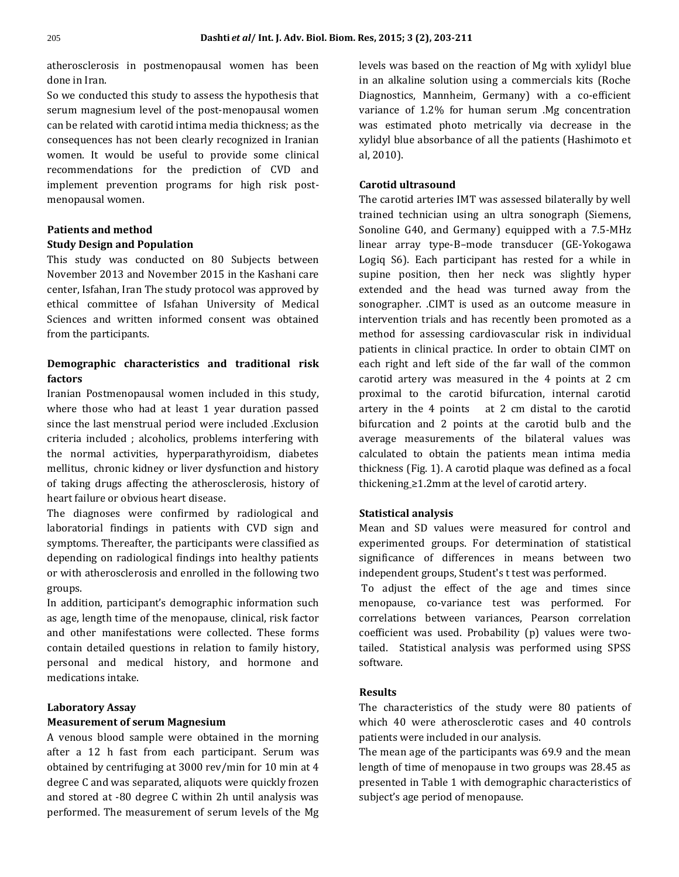atherosclerosis in postmenopausal women has been done in Iran.

So we conducted this study to assess the hypothesis that serum magnesium level of the post-menopausal women can be related with carotid intima media thickness; as the consequences has not been clearly recognized in Iranian women. It would be useful to provide some clinical recommendations for the prediction of CVD and implement prevention programs for high risk postmenopausal women.

### **Patients and method**

#### **Study Design and Population**

This study was conducted on 80 Subjects between November 2013 and November 2015 in the Kashani care center, Isfahan, Iran The study protocol was approved by ethical committee of Isfahan University of Medical Sciences and written informed consent was obtained from the participants.

# **Demographic characteristics and traditional risk factors**

Iranian Postmenopausal women included in this study, where those who had at least 1 year duration passed since the last menstrual period were included .Exclusion criteria included ; alcoholics, problems interfering with the normal activities, hyperparathyroidism, diabetes mellitus, chronic kidney or liver dysfunction and history of taking drugs affecting the atherosclerosis, history of heart failure or obvious heart disease.

The diagnoses were confirmed by radiological and laboratorial findings in patients with CVD sign and symptoms. Thereafter, the participants were classified as depending on radiological findings into healthy patients or with atherosclerosis and enrolled in the following two groups.

In addition, participant's demographic information such as age, length time of the menopause, clinical, risk factor and other manifestations were collected. These forms contain detailed questions in relation to family history, personal and medical history, and hormone and medications intake.

#### **Laboratory Assay**

#### **Measurement of serum Magnesium**

A venous blood sample were obtained in the morning after a 12 h fast from each participant. Serum was obtained by centrifuging at 3000 rev/min for 10 min at 4 degree C and was separated, aliquots were quickly frozen and stored at -80 degree C within 2h until analysis was performed. The measurement of serum levels of the Mg levels was based on the reaction of Mg with xylidyl blue in an alkaline solution using a commercials kits (Roche Diagnostics, Mannheim, Germany) with a co-efficient variance of 1.2% for human serum .Mg concentration was estimated photo metrically via decrease in the xylidyl blue absorbance of all the patients (Hashimoto et al, 2010).

# **Carotid ultrasound**

The carotid arteries IMT was assessed bilaterally by well trained technician using an ultra sonograph (Siemens, Sonoline G40, and Germany) equipped with a 7.5-MHz linear array type-B–mode transducer (GE-Yokogawa Logiq S6). Each participant has rested for a while in supine position, then her neck was slightly hyper extended and the head was turned away from the sonographer. .CIMT is used as an outcome measure in intervention trials and has recently been promoted as a method for assessing cardiovascular risk in individual patients in clinical practice. In order to obtain CIMT on each right and left side of the far wall of the common carotid artery was measured in the 4 points at 2 cm proximal to the carotid bifurcation, internal carotid artery in the 4 points at 2 cm distal to the carotid bifurcation and 2 points at the carotid bulb and the average measurements of the bilateral values was calculated to obtain the patients mean intima media thickness (Fig. 1). A carotid plaque was defined as a focal thickening  $\geq 1.2$ mm at the level of carotid artery.

#### **Statistical analysis**

Mean and SD values were measured for control and experimented groups. For determination of statistical significance of differences in means between two independent groups, Student's t test was performed.

To adjust the effect of the age and times since menopause, co-variance test was performed. For correlations between variances, Pearson correlation coefficient was used. Probability (p) values were twotailed. Statistical analysis was performed using SPSS software.

## **Results**

The characteristics of the study were 80 patients of which 40 were atherosclerotic cases and 40 controls patients were included in our analysis.

The mean age of the participants was 69.9 and the mean length of time of menopause in two groups was 28.45 as presented in Table 1 with demographic characteristics of subject's age period of menopause.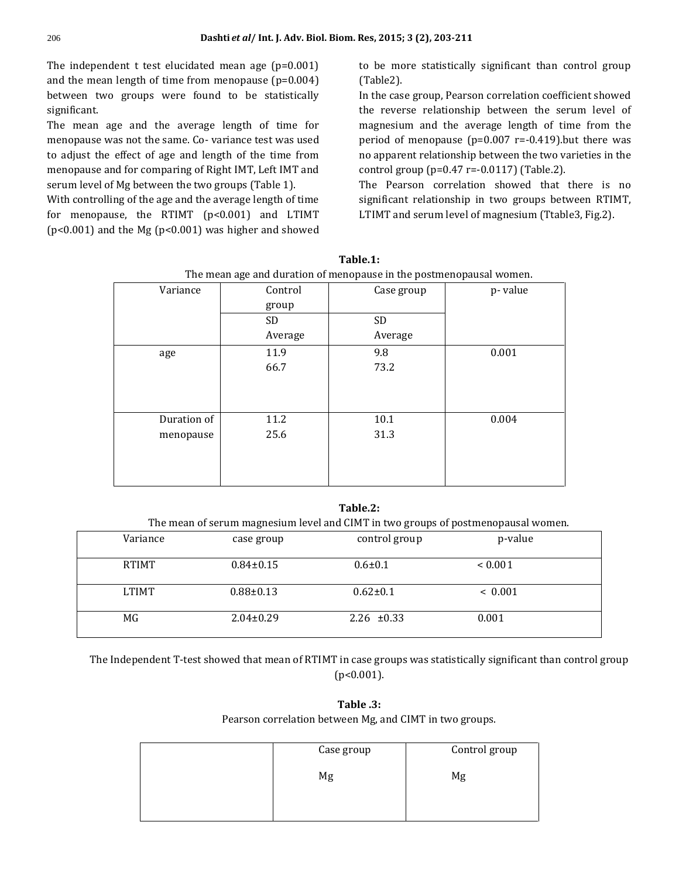The independent t test elucidated mean age (p=0.001) and the mean length of time from menopause (p=0.004) between two groups were found to be statistically significant.

The mean age and the average length of time for menopause was not the same. Co- variance test was used to adjust the effect of age and length of the time from menopause and for comparing of Right IMT, Left IMT and serum level of Mg between the two groups (Table 1).

With controlling of the age and the average length of time for menopause, the RTIMT (p<0.001) and LTIMT (p<0.001) and the Mg (p<0.001) was higher and showed to be more statistically significant than control group (Table2).

In the case group, Pearson correlation coefficient showed the reverse relationship between the serum level of magnesium and the average length of time from the period of menopause (p=0.007 r=-0.419).but there was no apparent relationship between the two varieties in the control group (p=0.47 r=-0.0117) (Table.2).

The Pearson correlation showed that there is no significant relationship in two groups between RTIMT, LTIMT and serum level of magnesium (Ttable3, Fig.2).

| °0<br>--- ----<br>r.<br>-- <i>-</i> r ----<br>---<br>-- |         |            |         |  |
|---------------------------------------------------------|---------|------------|---------|--|
| Variance                                                | Control | Case group | p-value |  |
|                                                         | group   |            |         |  |
|                                                         | SD      | <b>SD</b>  |         |  |
|                                                         | Average | Average    |         |  |
| age                                                     | 11.9    | 9.8        | 0.001   |  |
|                                                         | 66.7    | 73.2       |         |  |
|                                                         |         |            |         |  |
|                                                         |         |            |         |  |
| Duration of                                             | 11.2    | 10.1       | 0.004   |  |
| menopause                                               | 25.6    | 31.3       |         |  |
|                                                         |         |            |         |  |
|                                                         |         |            |         |  |
|                                                         |         |            |         |  |

**Table.1:** The mean age and duration of menopause in the postmenopausal women.

#### **Table.2:**

The mean of serum magnesium level and CIMT in two groups of postmenopausal women.

| Variance     | case group      | control group   | p-value     |  |
|--------------|-----------------|-----------------|-------------|--|
| <b>RTIMT</b> | $0.84 \pm 0.15$ | $0.6 \pm 0.1$   | ${}< 0.001$ |  |
| <b>LTIMT</b> | $0.88 \pm 0.13$ | $0.62 \pm 0.1$  | ~< 0.001    |  |
| MG           | $2.04 \pm 0.29$ | $2.26 \pm 0.33$ | 0.001       |  |

The Independent T-test showed that mean of RTIMT in case groups was statistically significant than control group (p<0.001).

**Table .3:** Pearson correlation between Mg, and CIMT in two groups.

| Case group | Control group |
|------------|---------------|
| Mg         | Mg            |
|            |               |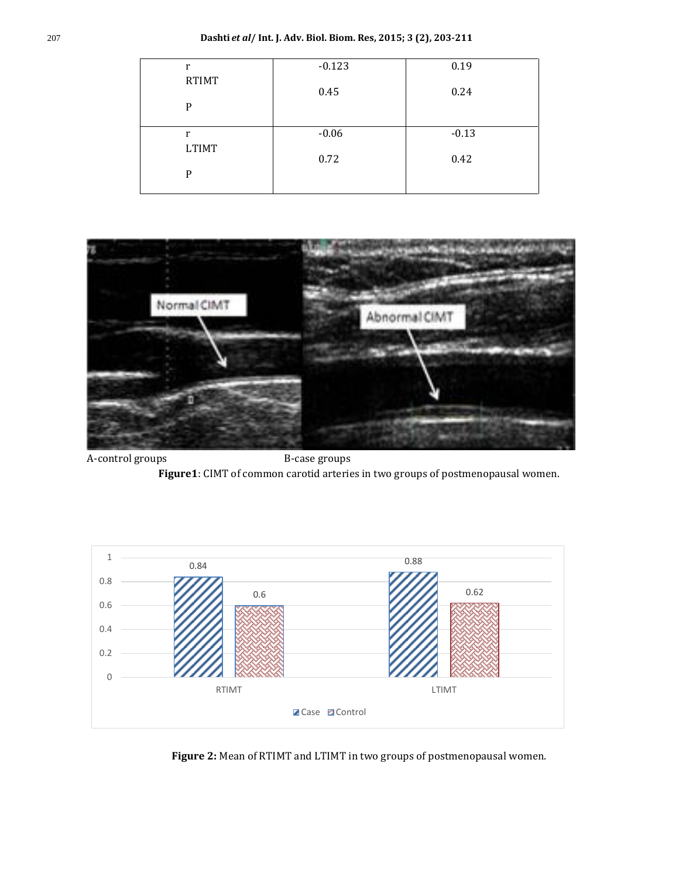207 **Dashti** *et al***/ Int. J. Adv. Biol. Biom. Res, 2015; 3 (2), 203-211**

| r            | $-0.123$ | 0.19    |
|--------------|----------|---------|
| <b>RTIMT</b> | 0.45     | 0.24    |
| P            |          |         |
|              |          |         |
| r            | $-0.06$  | $-0.13$ |
| <b>LTIMT</b> |          |         |
|              | 0.72     | 0.42    |
| P            |          |         |
|              |          |         |



A-control groups B-case groups **Figure1**: CIMT of common carotid arteries in two groups of postmenopausal women.



**Figure 2:** Mean of RTIMT and LTIMT in two groups of postmenopausal women.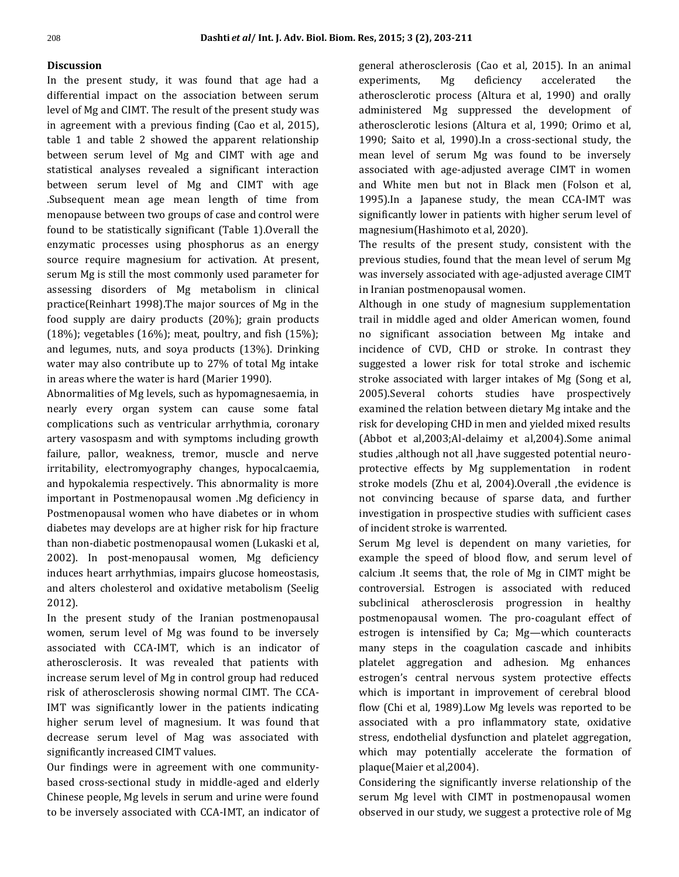#### **Discussion**

In the present study, it was found that age had a differential impact on the association between serum level of Mg and CIMT. The result of the present study was in agreement with a previous finding (Cao et al, 2015), table 1 and table 2 showed the apparent relationship between serum level of Mg and CIMT with age and statistical analyses revealed a significant interaction between serum level of Mg and CIMT with age .Subsequent mean age mean length of time from menopause between two groups of case and control were found to be statistically significant (Table 1).Overall the enzymatic processes using phosphorus as an energy source require magnesium for activation. At present, serum Mg is still the most commonly used parameter for assessing disorders of Mg metabolism in clinical practice(Reinhart 1998).The major sources of Mg in the food supply are dairy products (20%); grain products (18%); vegetables (16%); meat, poultry, and fish (15%); and legumes, nuts, and soya products (13%). Drinking water may also contribute up to 27% of total Mg intake in areas where the water is hard (Marier 1990).

Abnormalities of Mg levels, such as hypomagnesaemia, in nearly every organ system can cause some fatal complications such as ventricular arrhythmia, coronary artery vasospasm and with symptoms including growth failure, pallor, weakness, tremor, muscle and nerve irritability, electromyography changes, hypocalcaemia, and hypokalemia respectively. This abnormality is more important in Postmenopausal women .Mg deficiency in Postmenopausal women who have diabetes or in whom diabetes may develops are at higher risk for hip fracture than non-diabetic postmenopausal women (Lukaski et al, 2002). In post-menopausal women, Mg deficiency induces heart arrhythmias, impairs glucose homeostasis, and alters cholesterol and oxidative metabolism (Seelig 2012).

In the present study of the Iranian postmenopausal women, serum level of Mg was found to be inversely associated with CCA-IMT, which is an indicator of atherosclerosis. It was revealed that patients with increase serum level of Mg in control group had reduced risk of atherosclerosis showing normal CIMT. The CCA-IMT was significantly lower in the patients indicating higher serum level of magnesium. It was found that decrease serum level of Mag was associated with significantly increased CIMT values.

Our findings were in agreement with one communitybased cross-sectional study in middle-aged and elderly Chinese people, Mg levels in serum and urine were found to be inversely associated with CCA-IMT, an indicator of general atherosclerosis (Cao et al, 2015). In an animal experiments, Mg deficiency accelerated the atherosclerotic process (Altura et al, 1990) and orally administered Mg suppressed the development of atherosclerotic lesions (Altura et al, 1990; Orimo et al, 1990; Saito et al, 1990).In a cross-sectional study, the mean level of serum Mg was found to be inversely associated with age-adjusted average CIMT in women and White men but not in Black men (Folson et al, 1995).In a Japanese study, the mean CCA-IMT was significantly lower in patients with higher serum level of magnesium(Hashimoto et al, 2020).

The results of the present study, consistent with the previous studies, found that the mean level of serum Mg was inversely associated with age-adjusted average CIMT in Iranian postmenopausal women.

Although in one study of magnesium supplementation trail in middle aged and older American women, found no significant association between Mg intake and incidence of CVD, CHD or stroke. In contrast they suggested a lower risk for total stroke and ischemic stroke associated with larger intakes of Mg (Song et al, 2005).Several cohorts studies have prospectively examined the relation between dietary Mg intake and the risk for developing CHD in men and yielded mixed results (Abbot et al,2003;Al-delaimy et al,2004).Some animal studies ,although not all ,have suggested potential neuroprotective effects by Mg supplementation in rodent stroke models (Zhu et al, 2004).Overall ,the evidence is not convincing because of sparse data, and further investigation in prospective studies with sufficient cases of incident stroke is warrented.

Serum Mg level is dependent on many varieties, for example the speed of blood flow, and serum level of calcium .It seems that, the role of Mg in CIMT might be controversial. Estrogen is associated with reduced subclinical atherosclerosis progression in healthy postmenopausal women. The pro-coagulant effect of estrogen is intensified by Ca; Mg—which counteracts many steps in the coagulation cascade and inhibits platelet aggregation and adhesion. Mg enhances estrogen's central nervous system protective effects which is important in improvement of cerebral blood flow (Chi et al, 1989).Low Mg levels was reported to be associated with a pro inflammatory state, oxidative stress, endothelial dysfunction and platelet aggregation, which may potentially accelerate the formation of plaque(Maier et al,2004).

Considering the significantly inverse relationship of the serum Mg level with CIMT in postmenopausal women observed in our study, we suggest a protective role of Mg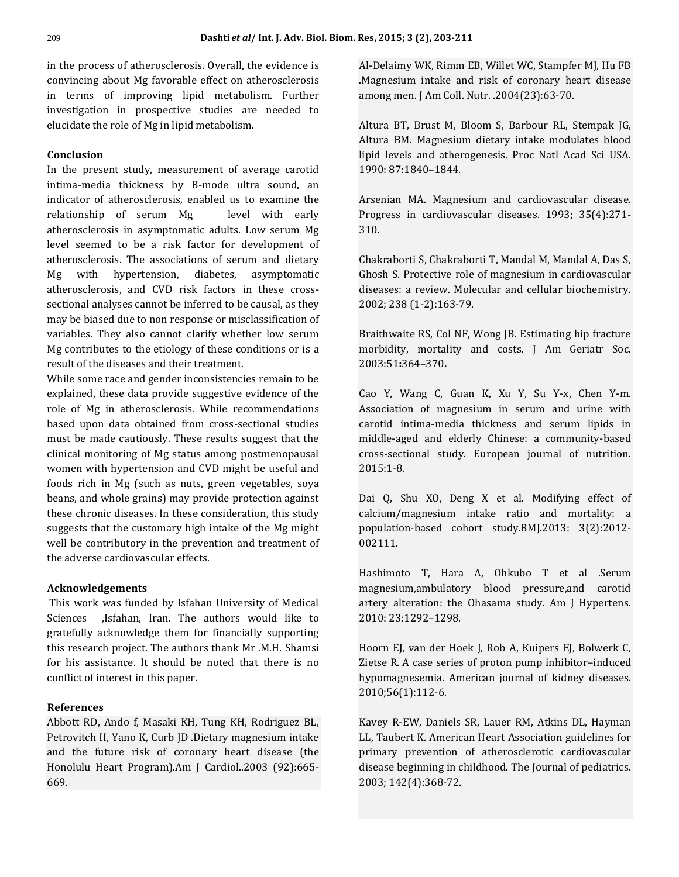in the process of atherosclerosis. Overall, the evidence is convincing about Mg favorable effect on atherosclerosis in terms of improving lipid metabolism. Further investigation in prospective studies are needed to elucidate the role of Mg in lipid metabolism.

# **Conclusion**

In the present study, measurement of average carotid intima-media thickness by B-mode ultra sound, an indicator of atherosclerosis, enabled us to examine the relationship of serum Mg level with early atherosclerosis in asymptomatic adults. Low serum Mg level seemed to be a risk factor for development of atherosclerosis. The associations of serum and dietary Mg with hypertension, diabetes, asymptomatic atherosclerosis, and CVD risk factors in these crosssectional analyses cannot be inferred to be causal, as they may be biased due to non response or misclassification of variables. They also cannot clarify whether low serum Mg contributes to the etiology of these conditions or is a result of the diseases and their treatment.

While some race and gender inconsistencies remain to be explained, these data provide suggestive evidence of the role of Mg in atherosclerosis. While recommendations based upon data obtained from cross-sectional studies must be made cautiously. These results suggest that the clinical monitoring of Mg status among postmenopausal women with hypertension and CVD might be useful and foods rich in Mg (such as nuts, green vegetables, soya beans, and whole grains) may provide protection against these chronic diseases. In these consideration, this study suggests that the customary high intake of the Mg might well be contributory in the prevention and treatment of the adverse cardiovascular effects.

#### **Acknowledgements**

This work was funded by Isfahan University of Medical Sciences ,Isfahan, Iran. The authors would like to gratefully acknowledge them for financially supporting this research project. The authors thank Mr .M.H. Shamsi for his assistance. It should be noted that there is no conflict of interest in this paper.

# **References**

Abbott RD, Ando f, Masaki KH, Tung KH, Rodriguez BL, Petrovitch H, Yano K, Curb JD .Dietary magnesium intake and the future risk of coronary heart disease (the Honolulu Heart Program).Am J Cardiol..2003 (92):665- 669.

Al-Delaimy WK, Rimm EB, Willet WC, Stampfer MJ, Hu FB .Magnesium intake and risk of coronary heart disease among men. J Am Coll. Nutr. .2004(23):63-70.

Altura BT, Brust M, Bloom S, Barbour RL, Stempak JG, Altura BM. Magnesium dietary intake modulates blood lipid levels and atherogenesis. Proc Natl Acad Sci USA. 1990: 87:1840–1844.

Arsenian MA. Magnesium and cardiovascular disease. Progress in cardiovascular diseases. 1993; 35(4):271- 310.

Chakraborti S, Chakraborti T, Mandal M, Mandal A, Das S, Ghosh S. Protective role of magnesium in cardiovascular diseases: a review. Molecular and cellular biochemistry. 2002; 238 (1-2):163-79.

Braithwaite RS, Col NF, Wong JB. Estimating hip fracture morbidity, mortality and costs. J Am Geriatr Soc. 2003:51**:**364–370**.**

Cao Y, Wang C, Guan K, Xu Y, Su Y-x, Chen Y-m. Association of magnesium in serum and urine with carotid intima-media thickness and serum lipids in middle-aged and elderly Chinese: a community-based cross-sectional study. European journal of nutrition. 2015:1-8.

Dai Q, Shu XO, Deng X et al. Modifying effect of calcium/magnesium intake ratio and mortality: a population-based cohort study.BMJ.2013: 3(2):2012- 002111.

Hashimoto T, Hara A, Ohkubo T et al .Serum magnesium,ambulatory blood pressure,and carotid artery alteration: the Ohasama study. Am J Hypertens. 2010: 23:1292–1298.

Hoorn EJ, van der Hoek J, Rob A, Kuipers EJ, Bolwerk C, Zietse R. A case series of proton pump inhibitor–induced hypomagnesemia. American journal of kidney diseases. 2010;56(1):112-6.

Kavey R-EW, Daniels SR, Lauer RM, Atkins DL, Hayman LL, Taubert K. American Heart Association guidelines for primary prevention of atherosclerotic cardiovascular disease beginning in childhood. The Journal of pediatrics. 2003; 142(4):368-72.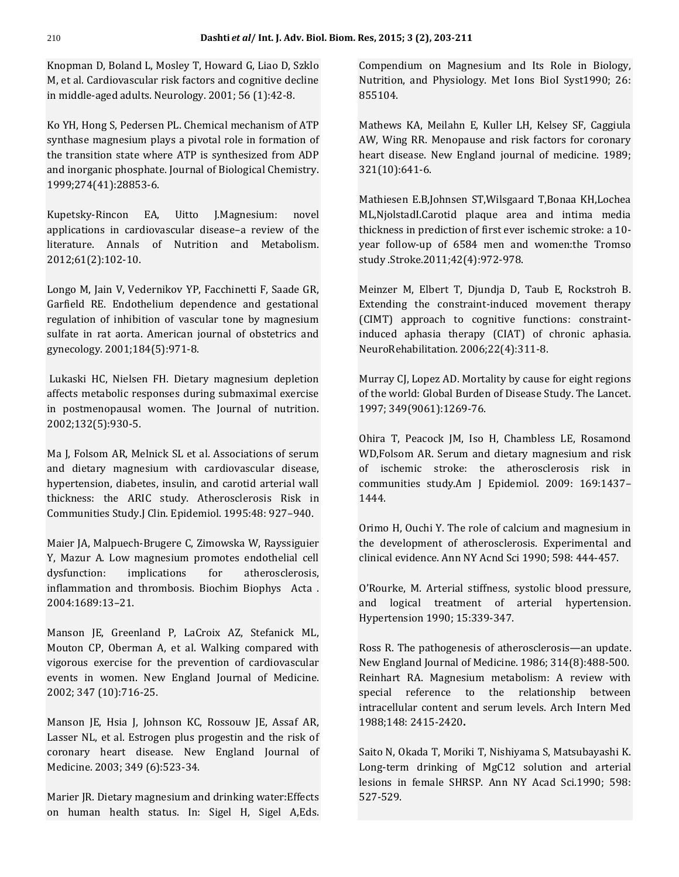Knopman D, Boland L, Mosley T, Howard G, Liao D, Szklo M, et al. Cardiovascular risk factors and cognitive decline in middle-aged adults. Neurology. 2001; 56 (1):42-8.

Ko YH, Hong S, Pedersen PL. Chemical mechanism of ATP synthase magnesium plays a pivotal role in formation of the transition state where ATP is synthesized from ADP and inorganic phosphate. Journal of Biological Chemistry. 1999;274(41):28853-6.

Kupetsky-Rincon EA, Uitto J.Magnesium: novel applications in cardiovascular disease–a review of the literature. Annals of Nutrition and Metabolism. 2012;61(2):102-10.

Longo M, Jain V, Vedernikov YP, Facchinetti F, Saade GR, Garfield RE. Endothelium dependence and gestational regulation of inhibition of vascular tone by magnesium sulfate in rat aorta. American journal of obstetrics and gynecology. 2001;184(5):971-8.

Lukaski HC, Nielsen FH. Dietary magnesium depletion affects metabolic responses during submaximal exercise in postmenopausal women. The Journal of nutrition. 2002;132(5):930-5.

Ma J, Folsom AR, Melnick SL et al. Associations of serum and dietary magnesium with cardiovascular disease, hypertension, diabetes, insulin, and carotid arterial wall thickness: the ARIC study. Atherosclerosis Risk in Communities Study.J Clin. Epidemiol. 1995:48: 927–940.

Maier JA, Malpuech-Brugere C, Zimowska W, Rayssiguier Y, Mazur A. Low magnesium promotes endothelial cell dysfunction: implications for atherosclerosis, inflammation and thrombosis. Biochim Biophys Acta . 2004:1689:13–21.

Manson JE, Greenland P, LaCroix AZ, Stefanick ML, Mouton CP, Oberman A, et al. Walking compared with vigorous exercise for the prevention of cardiovascular events in women. New England Journal of Medicine. 2002; 347 (10):716-25.

Manson JE, Hsia J, Johnson KC, Rossouw JE, Assaf AR, Lasser NL, et al. Estrogen plus progestin and the risk of coronary heart disease. New England Journal of Medicine. 2003; 349 (6):523-34.

Marier JR. Dietary magnesium and drinking water:Effects on human health status. In: Sigel H, Sigel A,Eds.

Compendium on Magnesium and Its Role in Biology, Nutrition, and Physiology. Met Ions BioI Syst1990; 26: 855104.

Mathews KA, Meilahn E, Kuller LH, Kelsey SF, Caggiula AW, Wing RR. Menopause and risk factors for coronary heart disease. New England journal of medicine. 1989; 321(10):641-6.

Mathiesen E.B,Johnsen ST,Wilsgaard T,Bonaa KH,Lochea ML,NjolstadI.Carotid plaque area and intima media thickness in prediction of first ever ischemic stroke: a 10 year follow-up of 6584 men and women:the Tromso study .Stroke.2011;42(4):972-978.

Meinzer M, Elbert T, Djundja D, Taub E, Rockstroh B. Extending the constraint-induced movement therapy (CIMT) approach to cognitive functions: constraintinduced aphasia therapy (CIAT) of chronic aphasia. NeuroRehabilitation. 2006;22(4):311-8.

Murray CJ, Lopez AD. Mortality by cause for eight regions of the world: Global Burden of Disease Study. The Lancet. 1997; 349(9061):1269-76.

Ohira T, Peacock JM, Iso H, Chambless LE, Rosamond WD,Folsom AR. Serum and dietary magnesium and risk of ischemic stroke: the atherosclerosis risk in communities study.Am J Epidemiol. 2009: 169:1437– 1444.

Orimo H, Ouchi Y. The role of calcium and magnesium in the development of atherosclerosis. Experimental and clinical evidence. Ann NY Acnd Sci 1990; 598: 444-457.

O'Rourke, M. Arterial stiffness, systolic blood pressure, and logical treatment of arterial hypertension. Hypertension 1990; 15:339-347.

Ross R. The pathogenesis of atherosclerosis—an update. New England Journal of Medicine. 1986; 314(8):488-500. Reinhart RA. Magnesium metabolism: A review with special reference to the relationship between intracellular content and serum levels. Arch Intern Med 1988;148: 2415-2420**.**

Saito N, Okada T, Moriki T, Nishiyama S, Matsubayashi K. Long-term drinking of MgC12 solution and arterial lesions in female SHRSP. Ann NY Acad Sci.1990; 598: 527-529.